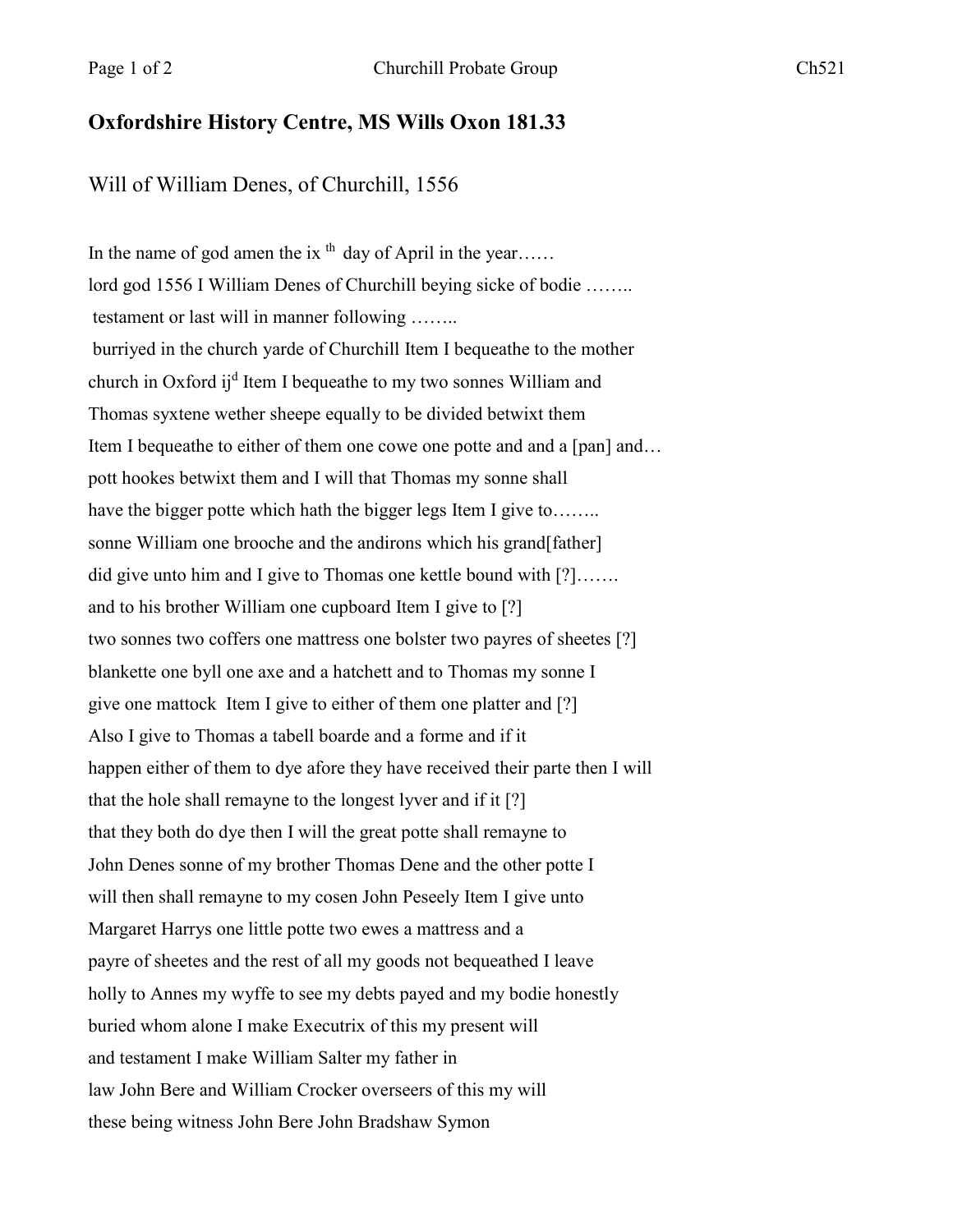## **Oxfordshire History Centre, MS Wills Oxon 181.33**

Will of William Denes, of Churchill, 1556

In the name of god amen the ix  $<sup>th</sup>$  day of April in the year.....</sup> lord god 1556 I William Denes of Churchill beying sicke of bodie …….. testament or last will in manner following …….. burriyed in the church yarde of Churchill Item I bequeathe to the mother church in Oxford ij<sup>d</sup> Item I bequeathe to my two sonnes William and Thomas syxtene wether sheepe equally to be divided betwixt them Item I bequeathe to either of them one cowe one potte and and a [pan] and... pott hookes betwixt them and I will that Thomas my sonne shall have the bigger potte which hath the bigger legs Item I give to........ sonne William one brooche and the andirons which his grand[father] did give unto him and I give to Thomas one kettle bound with [?]……. and to his brother William one cupboard Item I give to [?] two sonnes two coffers one mattress one bolster two payres of sheetes [?] blankette one byll one axe and a hatchett and to Thomas my sonne I give one mattock Item I give to either of them one platter and [?] Also I give to Thomas a tabell boarde and a forme and if it happen either of them to dye afore they have received their parte then I will that the hole shall remayne to the longest lyver and if it [?] that they both do dye then I will the great potte shall remayne to John Denes sonne of my brother Thomas Dene and the other potte I will then shall remayne to my cosen John Peseely Item I give unto Margaret Harrys one little potte two ewes a mattress and a payre of sheetes and the rest of all my goods not bequeathed I leave holly to Annes my wyffe to see my debts payed and my bodie honestly buried whom alone I make Executrix of this my present will and testament I make William Salter my father in law John Bere and William Crocker overseers of this my will these being witness John Bere John Bradshaw Symon